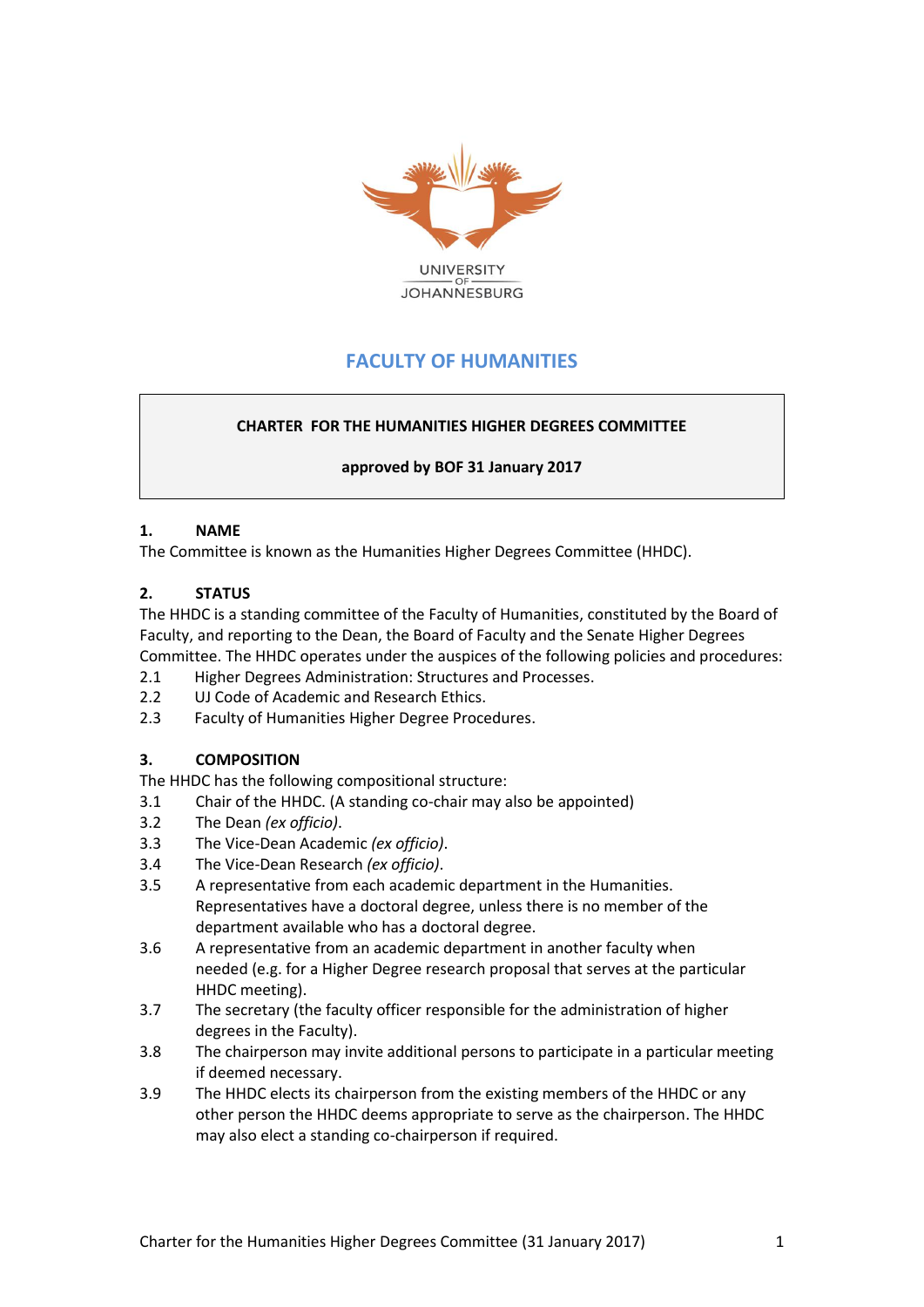

# **FACULTY OF HUMANITIES**

# **CHARTER FOR THE HUMANITIES HIGHER DEGREES COMMITTEE**

**approved by BOF 31 January 2017**

#### **1. NAME**

The Committee is known as the Humanities Higher Degrees Committee (HHDC).

## **2. STATUS**

The HHDC is a standing committee of the Faculty of Humanities, constituted by the Board of Faculty, and reporting to the Dean, the Board of Faculty and the Senate Higher Degrees Committee. The HHDC operates under the auspices of the following policies and procedures:

- 2.1 Higher Degrees Administration: Structures and Processes.
- 2.2 UJ Code of Academic and Research Ethics.
- 2.3 Faculty of Humanities Higher Degree Procedures.

## **3. COMPOSITION**

The HHDC has the following compositional structure:

- 3.1 Chair of the HHDC. (A standing co-chair may also be appointed)
- 3.2 The Dean *(ex officio)*.
- 3.3 The Vice-Dean Academic *(ex officio)*.
- 3.4 The Vice-Dean Research *(ex officio)*.
- 3.5 A representative from each academic department in the Humanities. Representatives have a doctoral degree, unless there is no member of the department available who has a doctoral degree.
- 3.6 A representative from an academic department in another faculty when needed (e.g. for a Higher Degree research proposal that serves at the particular HHDC meeting).
- 3.7 The secretary (the faculty officer responsible for the administration of higher degrees in the Faculty).
- 3.8 The chairperson may invite additional persons to participate in a particular meeting if deemed necessary.
- 3.9 The HHDC elects its chairperson from the existing members of the HHDC or any other person the HHDC deems appropriate to serve as the chairperson. The HHDC may also elect a standing co-chairperson if required.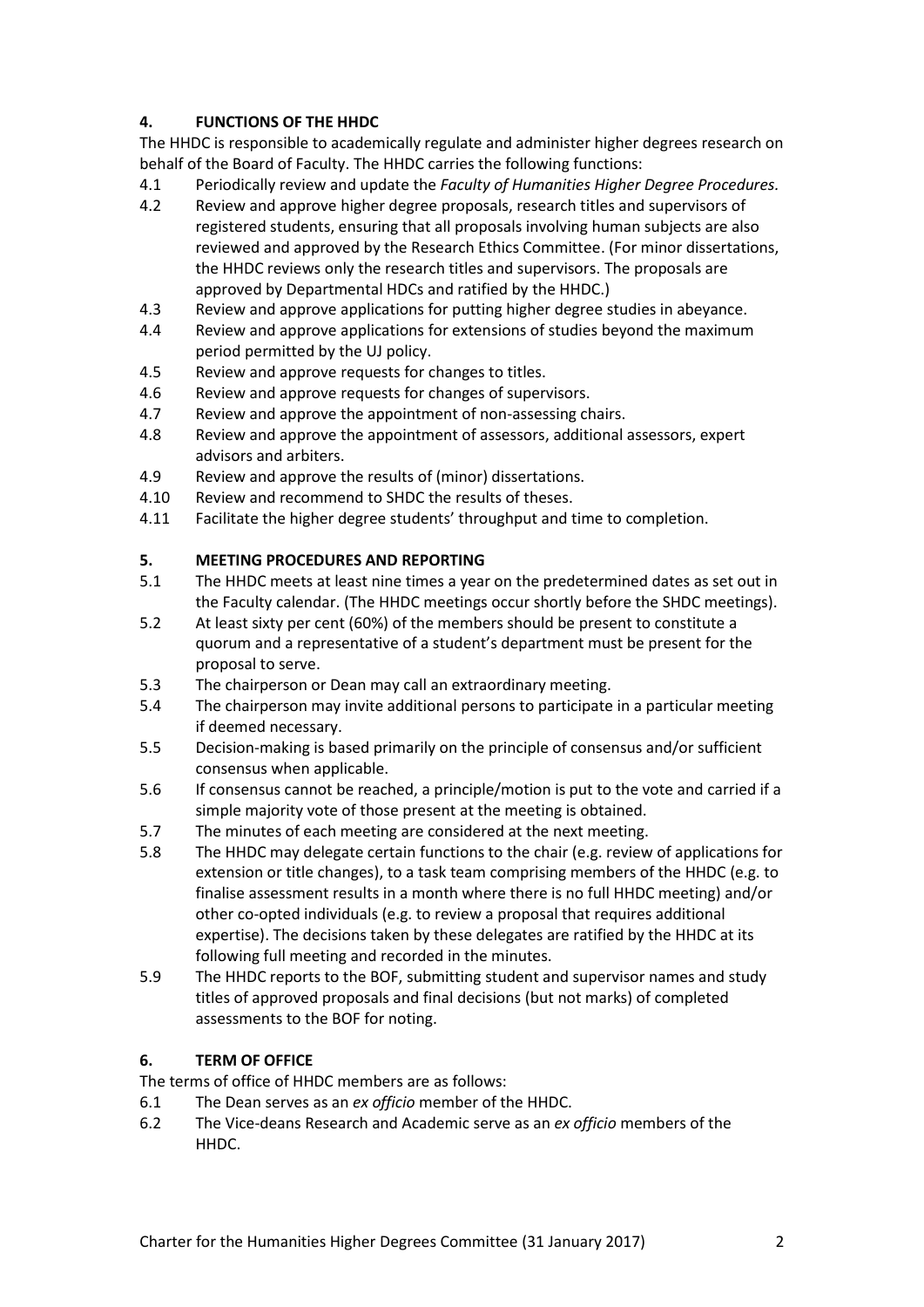## **4. FUNCTIONS OF THE HHDC**

The HHDC is responsible to academically regulate and administer higher degrees research on behalf of the Board of Faculty. The HHDC carries the following functions:

- 4.1 Periodically review and update the *Faculty of Humanities Higher Degree Procedures.*
- 4.2 Review and approve higher degree proposals, research titles and supervisors of registered students, ensuring that all proposals involving human subjects are also reviewed and approved by the Research Ethics Committee. (For minor dissertations, the HHDC reviews only the research titles and supervisors. The proposals are approved by Departmental HDCs and ratified by the HHDC.)
- 4.3 Review and approve applications for putting higher degree studies in abeyance.
- 4.4 Review and approve applications for extensions of studies beyond the maximum period permitted by the UJ policy.
- 4.5 Review and approve requests for changes to titles.
- 4.6 Review and approve requests for changes of supervisors.
- 4.7 Review and approve the appointment of non-assessing chairs.
- 4.8 Review and approve the appointment of assessors, additional assessors, expert advisors and arbiters.
- 4.9 Review and approve the results of (minor) dissertations.
- 4.10 Review and recommend to SHDC the results of theses.
- 4.11 Facilitate the higher degree students' throughput and time to completion.

#### **5. MEETING PROCEDURES AND REPORTING**

- 5.1 The HHDC meets at least nine times a year on the predetermined dates as set out in the Faculty calendar. (The HHDC meetings occur shortly before the SHDC meetings).
- 5.2 At least sixty per cent (60%) of the members should be present to constitute a quorum and a representative of a student's department must be present for the proposal to serve.
- 5.3 The chairperson or Dean may call an extraordinary meeting.
- 5.4 The chairperson may invite additional persons to participate in a particular meeting if deemed necessary.
- 5.5 Decision-making is based primarily on the principle of consensus and/or sufficient consensus when applicable.
- 5.6 If consensus cannot be reached, a principle/motion is put to the vote and carried if a simple majority vote of those present at the meeting is obtained.
- 5.7 The minutes of each meeting are considered at the next meeting.
- 5.8 The HHDC may delegate certain functions to the chair (e.g. review of applications for extension or title changes), to a task team comprising members of the HHDC (e.g. to finalise assessment results in a month where there is no full HHDC meeting) and/or other co-opted individuals (e.g. to review a proposal that requires additional expertise). The decisions taken by these delegates are ratified by the HHDC at its following full meeting and recorded in the minutes.
- 5.9 The HHDC reports to the BOF, submitting student and supervisor names and study titles of approved proposals and final decisions (but not marks) of completed assessments to the BOF for noting.

## **6. TERM OF OFFICE**

- The terms of office of HHDC members are as follows:
- 6.1 The Dean serves as an *ex officio* member of the HHDC.
- 6.2 The Vice-deans Research and Academic serve as an *ex officio* members of the HHDC.